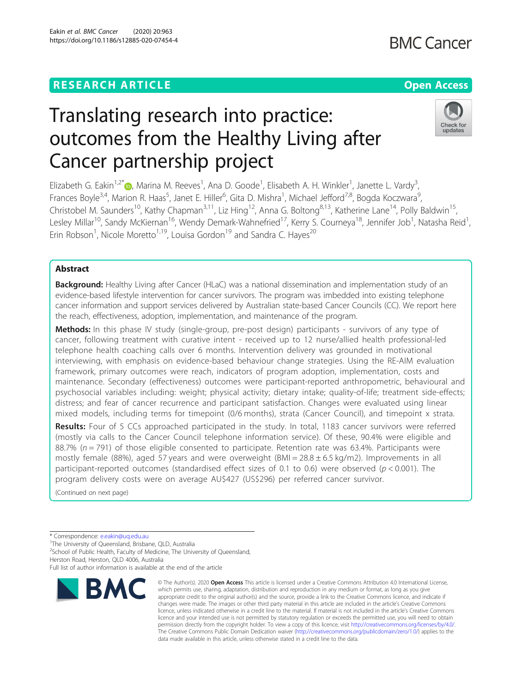**BMC Cancer** 

# Check for

updates

## Translating research into practice: outcomes from the Healthy Living after Cancer partnership project

Elizabeth G. Eakin<sup>1[,](http://orcid.org/0000-0002-8835-9995)2\*</sup>®, Marina M. Reeves<sup>1</sup>, Ana D. Goode<sup>1</sup>, Elisabeth A. H. Winkler<sup>1</sup>, Janette L. Vardy<sup>3</sup> , Frances Boyle<sup>3,4</sup>, Marion R. Haas<sup>5</sup>, Janet E. Hiller<sup>6</sup>, Gita D. Mishra<sup>1</sup>, Michael Jefford<sup>7,8</sup>, Bogda Koczwara<sup>9</sup> , Christobel M. Saunders<sup>10</sup>, Kathy Chapman<sup>3,11</sup>, Liz Hing<sup>12</sup>, Anna G. Boltong<sup>8,13</sup>, Katherine Lane<sup>14</sup>, Polly Baldwin<sup>15</sup>, Lesley Millar<sup>10</sup>, Sandy McKiernan<sup>16</sup>, Wendy Demark-Wahnefried<sup>17</sup>, Kerry S. Courneya<sup>18</sup>, Jennifer Job<sup>1</sup>, Natasha Reid<sup>1</sup> , Erin Robson<sup>1</sup>, Nicole Moretto<sup>1,19</sup>, Louisa Gordon<sup>19</sup> and Sandra C. Hayes<sup>20</sup>

### Abstract

Background: Healthy Living after Cancer (HLaC) was a national dissemination and implementation study of an evidence-based lifestyle intervention for cancer survivors. The program was imbedded into existing telephone cancer information and support services delivered by Australian state-based Cancer Councils (CC). We report here the reach, effectiveness, adoption, implementation, and maintenance of the program.

Methods: In this phase IV study (single-group, pre-post design) participants - survivors of any type of cancer, following treatment with curative intent - received up to 12 nurse/allied health professional-led telephone health coaching calls over 6 months. Intervention delivery was grounded in motivational interviewing, with emphasis on evidence-based behaviour change strategies. Using the RE-AIM evaluation framework, primary outcomes were reach, indicators of program adoption, implementation, costs and maintenance. Secondary (effectiveness) outcomes were participant-reported anthropometric, behavioural and psychosocial variables including: weight; physical activity; dietary intake; quality-of-life; treatment side-effects; distress; and fear of cancer recurrence and participant satisfaction. Changes were evaluated using linear mixed models, including terms for timepoint (0/6 months), strata (Cancer Council), and timepoint x strata.

Results: Four of 5 CCs approached participated in the study. In total, 1183 cancer survivors were referred (mostly via calls to the Cancer Council telephone information service). Of these, 90.4% were eligible and 88.7% ( $n = 791$ ) of those eligible consented to participate. Retention rate was 63.4%. Participants were mostly female (88%), aged 57 years and were overweight (BMI =  $28.8 \pm 6.5$  kg/m2). Improvements in all participant-reported outcomes (standardised effect sizes of 0.1 to 0.6) were observed ( $p < 0.001$ ). The program delivery costs were on average AU\$427 (US\$296) per referred cancer survivor.

(Continued on next page)

Full list of author information is available at the end of the article



<sup>©</sup> The Author(s), 2020 **Open Access** This article is licensed under a Creative Commons Attribution 4.0 International License, which permits use, sharing, adaptation, distribution and reproduction in any medium or format, as long as you give appropriate credit to the original author(s) and the source, provide a link to the Creative Commons licence, and indicate if changes were made. The images or other third party material in this article are included in the article's Creative Commons licence, unless indicated otherwise in a credit line to the material. If material is not included in the article's Creative Commons licence and your intended use is not permitted by statutory regulation or exceeds the permitted use, you will need to obtain permission directly from the copyright holder. To view a copy of this licence, visit [http://creativecommons.org/licenses/by/4.0/.](http://creativecommons.org/licenses/by/4.0/) The Creative Commons Public Domain Dedication waiver [\(http://creativecommons.org/publicdomain/zero/1.0/](http://creativecommons.org/publicdomain/zero/1.0/)) applies to the data made available in this article, unless otherwise stated in a credit line to the data.

<sup>\*</sup> Correspondence: [e.eakin@uq.edu.au](mailto:e.eakin@uq.edu.au)<br><sup>1</sup>The University of Queensland, Brisbane, QLD, Australia

<sup>&</sup>lt;sup>2</sup>School of Public Health, Faculty of Medicine, The University of Queensland, Herston Road, Herston, QLD 4006, Australia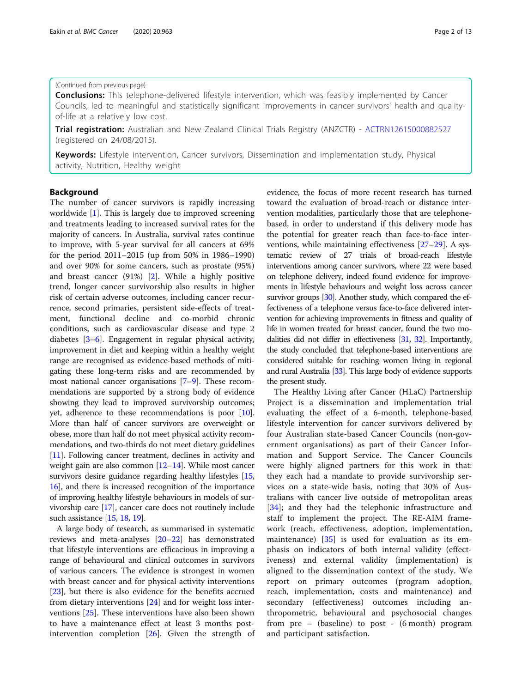#### (Continued from previous page)

**Conclusions:** This telephone-delivered lifestyle intervention, which was feasibly implemented by Cancer Councils, led to meaningful and statistically significant improvements in cancer survivors' health and qualityof-life at a relatively low cost.

Trial registration: Australian and New Zealand Clinical Trials Registry (ANZCTR) - [ACTRN12615000882527](https://www.anzctr.org.au/Trial/Registration/TrialReview.aspx?id=369052) (registered on 24/08/2015).

Keywords: Lifestyle intervention, Cancer survivors, Dissemination and implementation study, Physical activity, Nutrition, Healthy weight

#### Background

The number of cancer survivors is rapidly increasing worldwide [[1](#page-11-0)]. This is largely due to improved screening and treatments leading to increased survival rates for the majority of cancers. In Australia, survival rates continue to improve, with 5-year survival for all cancers at 69% for the period 2011–2015 (up from 50% in 1986–1990) and over 90% for some cancers, such as prostate (95%) and breast cancer (91%) [\[2\]](#page-11-0). While a highly positive trend, longer cancer survivorship also results in higher risk of certain adverse outcomes, including cancer recurrence, second primaries, persistent side-effects of treatment, functional decline and co-morbid chronic conditions, such as cardiovascular disease and type 2 diabetes [[3](#page-11-0)–[6\]](#page-11-0). Engagement in regular physical activity, improvement in diet and keeping within a healthy weight range are recognised as evidence-based methods of mitigating these long-term risks and are recommended by most national cancer organisations [\[7](#page-11-0)–[9\]](#page-11-0). These recommendations are supported by a strong body of evidence showing they lead to improved survivorship outcomes; yet, adherence to these recommendations is poor [[10](#page-11-0)]. More than half of cancer survivors are overweight or obese, more than half do not meet physical activity recommendations, and two-thirds do not meet dietary guidelines [[11](#page-11-0)]. Following cancer treatment, declines in activity and weight gain are also common  $[12-14]$  $[12-14]$  $[12-14]$  $[12-14]$ . While most cancer survivors desire guidance regarding healthy lifestyles [[15](#page-11-0), [16](#page-11-0)], and there is increased recognition of the importance of improving healthy lifestyle behaviours in models of survivorship care [[17](#page-11-0)], cancer care does not routinely include such assistance [[15](#page-11-0), [18,](#page-11-0) [19](#page-11-0)].

A large body of research, as summarised in systematic reviews and meta-analyses [\[20](#page-11-0)–[22\]](#page-11-0) has demonstrated that lifestyle interventions are efficacious in improving a range of behavioural and clinical outcomes in survivors of various cancers. The evidence is strongest in women with breast cancer and for physical activity interventions [[23\]](#page-11-0), but there is also evidence for the benefits accrued from dietary interventions [\[24](#page-11-0)] and for weight loss interventions [[25](#page-11-0)]. These interventions have also been shown to have a maintenance effect at least 3 months postintervention completion [\[26](#page-11-0)]. Given the strength of evidence, the focus of more recent research has turned toward the evaluation of broad-reach or distance intervention modalities, particularly those that are telephonebased, in order to understand if this delivery mode has the potential for greater reach than face-to-face interventions, while maintaining effectiveness [[27](#page-11-0)–[29](#page-12-0)]. A systematic review of 27 trials of broad-reach lifestyle interventions among cancer survivors, where 22 were based on telephone delivery, indeed found evidence for improvements in lifestyle behaviours and weight loss across cancer survivor groups [\[30](#page-12-0)]. Another study, which compared the effectiveness of a telephone versus face-to-face delivered intervention for achieving improvements in fitness and quality of life in women treated for breast cancer, found the two modalities did not differ in effectiveness [\[31](#page-12-0), [32](#page-12-0)]. Importantly, the study concluded that telephone-based interventions are considered suitable for reaching women living in regional and rural Australia [\[33](#page-12-0)]. This large body of evidence supports the present study.

The Healthy Living after Cancer (HLaC) Partnership Project is a dissemination and implementation trial evaluating the effect of a 6-month, telephone-based lifestyle intervention for cancer survivors delivered by four Australian state-based Cancer Councils (non-government organisations) as part of their Cancer Information and Support Service. The Cancer Councils were highly aligned partners for this work in that: they each had a mandate to provide survivorship services on a state-wide basis, noting that 30% of Australians with cancer live outside of metropolitan areas [[34\]](#page-12-0); and they had the telephonic infrastructure and staff to implement the project. The RE-AIM framework (reach, effectiveness, adoption, implementation, maintenance) [\[35](#page-12-0)] is used for evaluation as its emphasis on indicators of both internal validity (effectiveness) and external validity (implementation) is aligned to the dissemination context of the study. We report on primary outcomes (program adoption, reach, implementation, costs and maintenance) and secondary (effectiveness) outcomes including anthropometric, behavioural and psychosocial changes from pre – (baseline) to post - (6 month) program and participant satisfaction.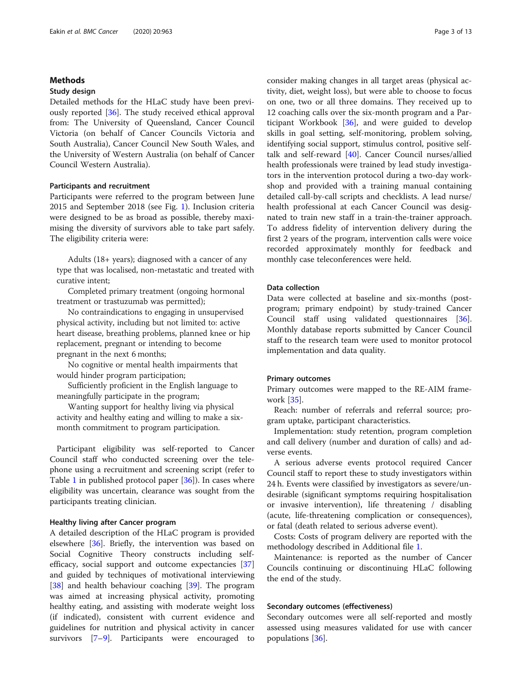#### Methods

#### Study design

Detailed methods for the HLaC study have been previously reported [\[36](#page-12-0)]. The study received ethical approval from: The University of Queensland, Cancer Council Victoria (on behalf of Cancer Councils Victoria and South Australia), Cancer Council New South Wales, and the University of Western Australia (on behalf of Cancer Council Western Australia).

#### Participants and recruitment

Participants were referred to the program between June 2015 and September 2018 (see Fig. [1](#page-3-0)). Inclusion criteria were designed to be as broad as possible, thereby maximising the diversity of survivors able to take part safely. The eligibility criteria were:

Adults (18+ years); diagnosed with a cancer of any type that was localised, non-metastatic and treated with curative intent;

Completed primary treatment (ongoing hormonal treatment or trastuzumab was permitted);

No contraindications to engaging in unsupervised physical activity, including but not limited to: active heart disease, breathing problems, planned knee or hip replacement, pregnant or intending to become pregnant in the next 6 months;

No cognitive or mental health impairments that would hinder program participation;

Sufficiently proficient in the English language to meaningfully participate in the program;

Wanting support for healthy living via physical activity and healthy eating and willing to make a sixmonth commitment to program participation.

Participant eligibility was self-reported to Cancer Council staff who conducted screening over the telephone using a recruitment and screening script (refer to Table [1](#page-4-0) in published protocol paper [[36](#page-12-0)]). In cases where eligibility was uncertain, clearance was sought from the participants treating clinician.

#### Healthy living after Cancer program

A detailed description of the HLaC program is provided elsewhere [[36\]](#page-12-0). Briefly, the intervention was based on Social Cognitive Theory constructs including selfefficacy, social support and outcome expectancies [[37](#page-12-0)] and guided by techniques of motivational interviewing [[38\]](#page-12-0) and health behaviour coaching [\[39](#page-12-0)]. The program was aimed at increasing physical activity, promoting healthy eating, and assisting with moderate weight loss (if indicated), consistent with current evidence and guidelines for nutrition and physical activity in cancer survivors [[7](#page-11-0)–[9](#page-11-0)]. Participants were encouraged to consider making changes in all target areas (physical activity, diet, weight loss), but were able to choose to focus on one, two or all three domains. They received up to 12 coaching calls over the six-month program and a Participant Workbook [[36\]](#page-12-0), and were guided to develop skills in goal setting, self-monitoring, problem solving, identifying social support, stimulus control, positive selftalk and self-reward [\[40\]](#page-12-0). Cancer Council nurses/allied health professionals were trained by lead study investigators in the intervention protocol during a two-day workshop and provided with a training manual containing detailed call-by-call scripts and checklists. A lead nurse/ health professional at each Cancer Council was designated to train new staff in a train-the-trainer approach. To address fidelity of intervention delivery during the first 2 years of the program, intervention calls were voice recorded approximately monthly for feedback and monthly case teleconferences were held.

#### Data collection

Data were collected at baseline and six-months (postprogram; primary endpoint) by study-trained Cancer Council staff using validated questionnaires [\[36](#page-12-0)]. Monthly database reports submitted by Cancer Council staff to the research team were used to monitor protocol implementation and data quality.

#### Primary outcomes

Primary outcomes were mapped to the RE-AIM framework [\[35](#page-12-0)].

Reach: number of referrals and referral source; program uptake, participant characteristics.

Implementation: study retention, program completion and call delivery (number and duration of calls) and adverse events.

A serious adverse events protocol required Cancer Council staff to report these to study investigators within 24 h. Events were classified by investigators as severe/undesirable (significant symptoms requiring hospitalisation or invasive intervention), life threatening / disabling (acute, life-threatening complication or consequences), or fatal (death related to serious adverse event).

Costs: Costs of program delivery are reported with the methodology described in Additional file [1.](#page-10-0)

Maintenance: is reported as the number of Cancer Councils continuing or discontinuing HLaC following the end of the study.

#### Secondary outcomes (effectiveness)

Secondary outcomes were all self-reported and mostly assessed using measures validated for use with cancer populations [[36\]](#page-12-0).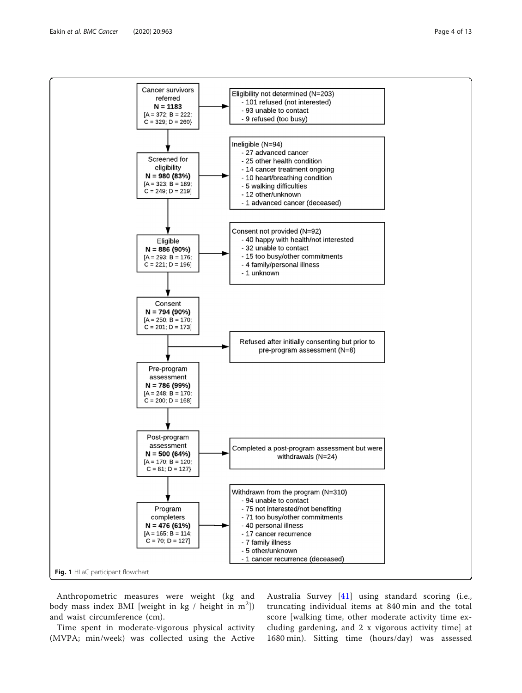<span id="page-3-0"></span>

Anthropometric measures were weight (kg and body mass index BMI [weight in  $kg /$  height in  $m^2$ ]) and waist circumference (cm).

Time spent in moderate-vigorous physical activity (MVPA; min/week) was collected using the Active

Australia Survey [[41](#page-12-0)] using standard scoring (i.e., truncating individual items at 840 min and the total score [walking time, other moderate activity time excluding gardening, and 2 x vigorous activity time] at 1680 min). Sitting time (hours/day) was assessed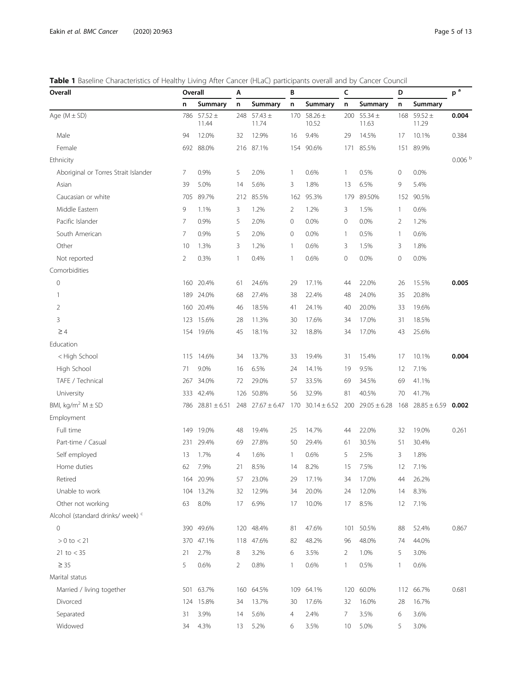<span id="page-4-0"></span>

| Overall                                      | Overall |                      | Α<br>В |                      |     |                      |             | c                        |     | D                  |                    |
|----------------------------------------------|---------|----------------------|--------|----------------------|-----|----------------------|-------------|--------------------------|-----|--------------------|--------------------|
|                                              | n       | Summary              | n      | Summary              | n   | Summary              | n           | Summary                  | n   | Summary            |                    |
| Age $(M \pm SD)$                             |         | 786 57.52 ±<br>11.44 | 248    | 57.43 $\pm$<br>11.74 |     | 170 58.26 ±<br>10.52 |             | 200 $55.34 \pm$<br>11.63 | 168 | $59.52 +$<br>11.29 | 0.004              |
| Male                                         | 94      | 12.0%                | 32     | 12.9%                | 16  | 9.4%                 | 29          | 14.5%                    | 17  | 10.1%              | 0.384              |
| Female                                       | 692     | 88.0%                | 216    | 87.1%                | 154 | 90.6%                | 171         | 85.5%                    | 151 | 89.9%              |                    |
| Ethnicity                                    |         |                      |        |                      |     |                      |             |                          |     |                    | 0.006 <sup>b</sup> |
| Aboriginal or Torres Strait Islander         | 7       | 0.9%                 | 5      | 2.0%                 | 1   | 0.6%                 | 1           | 0.5%                     | 0   | 0.0%               |                    |
| Asian                                        | 39      | 5.0%                 | 14     | 5.6%                 | 3   | 1.8%                 | 13          | 6.5%                     | 9   | 5.4%               |                    |
| Caucasian or white                           | 705     | 89.7%                | 212    | 85.5%                | 162 | 95.3%                | 179         | 89.50%                   | 152 | 90.5%              |                    |
| Middle Eastern                               | 9       | 1.1%                 | 3      | 1.2%                 | 2   | 1.2%                 | 3           | 1.5%                     | 1   | 0.6%               |                    |
| Pacific Islander                             | 7       | 0.9%                 | 5      | 2.0%                 | 0   | 0.0%                 | $\mathbf 0$ | 0.0%                     | 2   | 1.2%               |                    |
| South American                               | 7       | 0.9%                 | 5      | 2.0%                 | 0   | 0.0%                 | 1           | 0.5%                     | 1   | 0.6%               |                    |
| Other                                        | 10      | 1.3%                 | 3      | 1.2%                 | 1   | 0.6%                 | 3           | 1.5%                     | 3   | 1.8%               |                    |
| Not reported                                 | 2       | 0.3%                 | 1      | 0.4%                 | 1   | 0.6%                 | 0           | 0.0%                     | 0   | 0.0%               |                    |
| Comorbidities                                |         |                      |        |                      |     |                      |             |                          |     |                    |                    |
| 0                                            | 160     | 20.4%                | 61     | 24.6%                | 29  | 17.1%                | 44          | 22.0%                    | 26  | 15.5%              | 0.005              |
| 1                                            | 189     | 24.0%                | 68     | 27.4%                | 38  | 22.4%                | 48          | 24.0%                    | 35  | 20.8%              |                    |
| 2                                            | 160     | 20.4%                | 46     | 18.5%                | 41  | 24.1%                | 40          | 20.0%                    | 33  | 19.6%              |                    |
| 3                                            | 123     | 15.6%                | 28     | 11.3%                | 30  | 17.6%                | 34          | 17.0%                    | 31  | 18.5%              |                    |
| $\geq 4$                                     |         | 154 19.6%            | 45     | 18.1%                | 32  | 18.8%                | 34          | 17.0%                    | 43  | 25.6%              |                    |
| Education                                    |         |                      |        |                      |     |                      |             |                          |     |                    |                    |
| < High School                                | 115     | 14.6%                | 34     | 13.7%                | 33  | 19.4%                | 31          | 15.4%                    | 17  | 10.1%              | 0.004              |
| High School                                  | 71      | 9.0%                 | 16     | 6.5%                 | 24  | 14.1%                | 19          | 9.5%                     | 12  | 7.1%               |                    |
| TAFE / Technical                             | 267     | 34.0%                | 72     | 29.0%                | 57  | 33.5%                | 69          | 34.5%                    | 69  | 41.1%              |                    |
| University                                   | 333     | 42.4%                | 126    | 50.8%                | 56  | 32.9%                | 81          | 40.5%                    | 70  | 41.7%              |                    |
| BMI, kg/m <sup>2</sup> $M \pm SD$            | 786     | $28.81 \pm 6.51$     |        | 248 $27.67 \pm 6.47$ | 170 | $30.14 \pm 6.52$     | 200         | $29.05 \pm 6.28$         | 168 | $28.85 \pm 6.59$   | 0.002              |
| Employment                                   |         |                      |        |                      |     |                      |             |                          |     |                    |                    |
| Full time                                    | 149     | 19.0%                | 48     | 19.4%                | 25  | 14.7%                | 44          | 22.0%                    | 32  | 19.0%              | 0.261              |
| Part-time / Casual                           | 231     | 29.4%                | 69     | 27.8%                | 50  | 29.4%                | 61          | 30.5%                    | 51  | 30.4%              |                    |
| Self employed                                | 13      | 1.7%                 | 4      | 1.6%                 | 1   | 0.6%                 | 5           | 2.5%                     | 3   | 1.8%               |                    |
| Home duties                                  | 62      | 7.9%                 | 21     | 8.5%                 | 14  | 8.2%                 | 15          | 7.5%                     | 12  | 7.1%               |                    |
| Retired                                      |         | 164 20.9%            | 57     | 23.0%                | 29  | 17.1%                | 34          | 17.0%                    | 44  | 26.2%              |                    |
| Unable to work                               |         | 104 13.2%            | 32     | 12.9%                | 34  | 20.0%                | 24          | 12.0%                    | 14  | 8.3%               |                    |
| Other not working                            | 63      | 8.0%                 | 17     | 6.9%                 | 17  | 10.0%                | 17          | 8.5%                     | 12  | 7.1%               |                    |
| Alcohol (standard drinks/ week) <sup>c</sup> |         |                      |        |                      |     |                      |             |                          |     |                    |                    |
| 0                                            |         | 390 49.6%            |        | 120 48.4%            | 81  | 47.6%                | 101         | 50.5%                    | 88  | 52.4%              | 0.867              |
| $> 0$ to $< 21$                              |         | 370 47.1%            |        | 118 47.6%            | 82  | 48.2%                | 96          | 48.0%                    | 74  | 44.0%              |                    |
| 21 to $<$ 35                                 | 21      | 2.7%                 | 8      | 3.2%                 | 6   | 3.5%                 | 2           | 1.0%                     | 5   | 3.0%               |                    |
| $\geq 35$                                    | 5       | 0.6%                 | 2      | 0.8%                 | 1   | 0.6%                 | 1           | 0.5%                     | 1   | 0.6%               |                    |
| Marital status                               |         |                      |        |                      |     |                      |             |                          |     |                    |                    |
| Married / living together                    |         | 501 63.7%            |        | 160 64.5%            | 109 | 64.1%                | 120         | 60.0%                    |     | 112 66.7%          | 0.681              |
| Divorced                                     | 124     | 15.8%                | 34     | 13.7%                | 30  | 17.6%                | 32          | 16.0%                    | 28  | 16.7%              |                    |
| Separated                                    | 31      | 3.9%                 | 14     | 5.6%                 | 4   | 2.4%                 | 7           | 3.5%                     | 6   | 3.6%               |                    |
| Widowed                                      | 34      | 4.3%                 | 13     | 5.2%                 | 6   | 3.5%                 | 10          | 5.0%                     | 5   | 3.0%               |                    |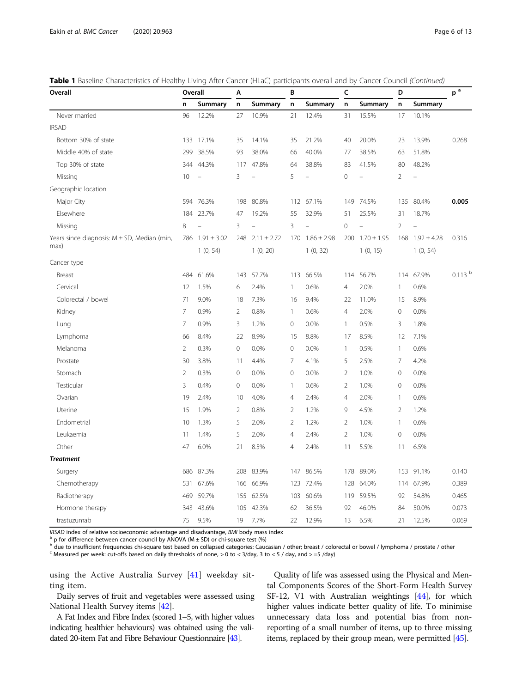| Table 1 Baseline Characteristics of Healthy Living After Cancer (HLaC) participants overall and by Cancer Council (Continued) |  |  |  |
|-------------------------------------------------------------------------------------------------------------------------------|--|--|--|
|                                                                                                                               |  |  |  |

| Overall                                          |                | Overall         |                | Α               |                | В               |                | c               |                | D               |                    |
|--------------------------------------------------|----------------|-----------------|----------------|-----------------|----------------|-----------------|----------------|-----------------|----------------|-----------------|--------------------|
|                                                  | n              | Summary         | n              | Summary         | n              | Summary         | n              | Summary         | n              | Summary         |                    |
| Never married                                    | 96             | 12.2%           | 27             | 10.9%           | 21             | 12.4%           | 31             | 15.5%           | 17             | 10.1%           |                    |
| <b>IRSAD</b>                                     |                |                 |                |                 |                |                 |                |                 |                |                 |                    |
| Bottom 30% of state                              | 133            | 17.1%           | 35             | 14.1%           | 35             | 21.2%           | 40             | 20.0%           | 23             | 13.9%           | 0.268              |
| Middle 40% of state                              | 299            | 38.5%           | 93             | 38.0%           | 66             | 40.0%           | 77             | 38.5%           | 63             | 51.8%           |                    |
| Top 30% of state                                 | 344            | 44.3%           | 117            | 47.8%           | 64             | 38.8%           | 83             | 41.5%           | 80             | 48.2%           |                    |
| Missing                                          | 10             | $\frac{1}{2}$   | 3              |                 | 5              |                 | $\mathbf 0$    |                 | $\overline{2}$ |                 |                    |
| Geographic location                              |                |                 |                |                 |                |                 |                |                 |                |                 |                    |
| Major City                                       | 594            | 76.3%           | 198            | 80.8%           |                | 112 67.1%       | 149            | 74.5%           | 135            | 80.4%           | 0.005              |
| Elsewhere                                        |                | 184 23.7%       | 47             | 19.2%           | 55             | 32.9%           | 51             | 25.5%           | 31             | 18.7%           |                    |
| Missing                                          | 8              |                 | 3              |                 | 3              |                 | $\mathbf 0$    | L,              | $\overline{2}$ | L,              |                    |
| Years since diagnosis: $M \pm SD$ , Median (min, | 786            | $1.91 \pm 3.02$ | 248            | $2.11 \pm 2.72$ | 170            | $1.86 \pm 2.98$ | 200            | $1.70 \pm 1.95$ | 168            | $1.92 \pm 4.28$ | 0.316              |
| max)                                             |                | 1(0, 54)        |                | 1(0, 20)        |                | 1(0, 32)        |                | 1(0, 15)        |                | 1(0, 54)        |                    |
| Cancer type                                      |                |                 |                |                 |                |                 |                |                 |                |                 |                    |
| Breast                                           | 484            | 61.6%           | 143            | 57.7%           | 113            | 66.5%           | 114            | 56.7%           | 114            | 67.9%           | 0.113 <sup>b</sup> |
| Cervical                                         | 12             | 1.5%            | 6              | 2.4%            | 1              | 0.6%            | $\overline{4}$ | 2.0%            | 1              | 0.6%            |                    |
| Colorectal / bowel                               | 71             | 9.0%            | 18             | 7.3%            | 16             | 9.4%            | 22             | 11.0%           | 15             | 8.9%            |                    |
| Kidney                                           | 7              | 0.9%            | $\overline{2}$ | 0.8%            | 1              | 0.6%            | $\overline{4}$ | 2.0%            | $\mathbf 0$    | 0.0%            |                    |
| Lung                                             | $\overline{7}$ | 0.9%            | $\overline{3}$ | 1.2%            | $\mathbf{0}$   | 0.0%            | $\mathbf{1}$   | 0.5%            | 3              | 1.8%            |                    |
| Lymphoma                                         | 66             | 8.4%            | 22             | 8.9%            | 15             | 8.8%            | 17             | 8.5%            | 12             | 7.1%            |                    |
| Melanoma                                         | $\overline{2}$ | 0.3%            | $\mathbf 0$    | 0.0%            | 0              | 0.0%            | $\mathbf{1}$   | 0.5%            | 1              | 0.6%            |                    |
| Prostate                                         | 30             | 3.8%            | 11             | 4.4%            | 7              | 4.1%            | 5              | 2.5%            | 7              | 4.2%            |                    |
| Stomach                                          | $\overline{2}$ | 0.3%            | $\mathbf{0}$   | 0.0%            | $\mathbf 0$    | 0.0%            | $\overline{2}$ | 1.0%            | $\mathbf 0$    | 0.0%            |                    |
| Testicular                                       | 3              | 0.4%            | $\mathbf{0}$   | 0.0%            | 1              | 0.6%            | $\overline{2}$ | 1.0%            | $\mathbf 0$    | 0.0%            |                    |
| Ovarian                                          | 19             | 2.4%            | 10             | 4.0%            | $\overline{4}$ | 2.4%            | $\overline{4}$ | 2.0%            | $\mathbf{1}$   | 0.6%            |                    |
| Uterine                                          | 15             | 1.9%            | $\overline{2}$ | 0.8%            | $\overline{2}$ | 1.2%            | 9              | 4.5%            | 2              | 1.2%            |                    |
| Endometrial                                      | 10             | 1.3%            | 5              | 2.0%            | $\overline{2}$ | 1.2%            | $\overline{2}$ | 1.0%            | $\mathbf{1}$   | 0.6%            |                    |
| Leukaemia                                        | 11             | 1.4%            | 5              | 2.0%            | $\overline{4}$ | 2.4%            | $\overline{2}$ | 1.0%            | $\mathbf 0$    | 0.0%            |                    |
| Other                                            | 47             | 6.0%            | 21             | 8.5%            | $\overline{4}$ | 2.4%            | 11             | 5.5%            | 11             | 6.5%            |                    |
| <b>Treatment</b>                                 |                |                 |                |                 |                |                 |                |                 |                |                 |                    |
| Surgery                                          | 686            | 87.3%           | 208            | 83.9%           | 147            | 86.5%           | 178            | 89.0%           | 153            | 91.1%           | 0.140              |
| Chemotherapy                                     | 531            | 67.6%           | 166            | 66.9%           | 123            | 72.4%           | 128            | 64.0%           | 114            | 67.9%           | 0.389              |
| Radiotherapy                                     | 469            | 59.7%           | 155            | 62.5%           | 103            | 60.6%           | 119            | 59.5%           | 92             | 54.8%           | 0.465              |
| Hormone therapy                                  | 343            | 43.6%           | 105            | 42.3%           | 62             | 36.5%           | 92             | 46.0%           | 84             | 50.0%           | 0.073              |
| trastuzumab                                      | 75             | 9.5%            | 19             | 7.7%            | 22             | 12.9%           | 13             | 6.5%            | 21             | 12.5%           | 0.069              |

*IRSAD* index of relative socioeconomic advantage and disadvantage, *BMI* body mass index <sup>a</sup> p for difference between cancer council by ANOVA (M ± SD) or chi-square test (%)

b due to insufficient frequencies chi-square test based on collapsed categories: Caucasian / other; breast / colorectal or bowel / lymphoma / prostate / other<br>
S Measured per week: cut-offs based on daily thresholds of non

using the Active Australia Survey [[41](#page-12-0)] weekday sitting item.

Daily serves of fruit and vegetables were assessed using National Health Survey items [[42](#page-12-0)].

A Fat Index and Fibre Index (scored 1–5, with higher values indicating healthier behaviours) was obtained using the validated 20-item Fat and Fibre Behaviour Questionnaire [\[43](#page-12-0)].

Quality of life was assessed using the Physical and Mental Components Scores of the Short-Form Health Survey SF-12, V1 with Australian weightings [\[44\]](#page-12-0), for which higher values indicate better quality of life. To minimise unnecessary data loss and potential bias from nonreporting of a small number of items, up to three missing items, replaced by their group mean, were permitted [\[45\]](#page-12-0).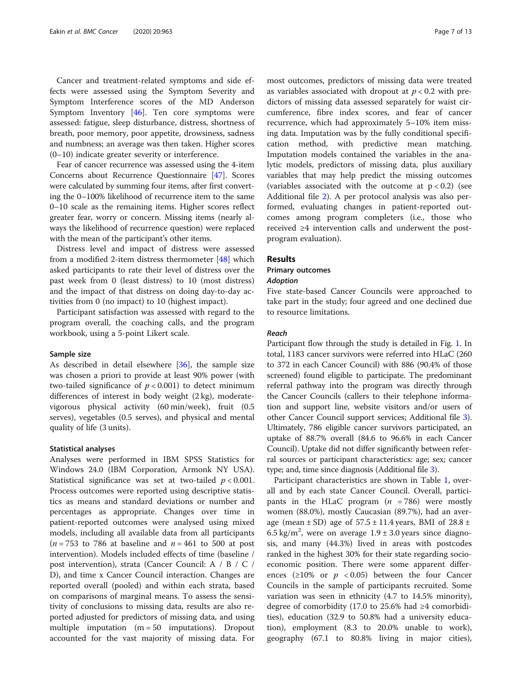Cancer and treatment-related symptoms and side effects were assessed using the Symptom Severity and Symptom Interference scores of the MD Anderson Symptom Inventory [\[46](#page-12-0)]. Ten core symptoms were assessed: fatigue, sleep disturbance, distress, shortness of breath, poor memory, poor appetite, drowsiness, sadness and numbness; an average was then taken. Higher scores (0–10) indicate greater severity or interference.

Fear of cancer recurrence was assessed using the 4-item Concerns about Recurrence Questionnaire [\[47\]](#page-12-0). Scores were calculated by summing four items, after first converting the 0–100% likelihood of recurrence item to the same 0–10 scale as the remaining items. Higher scores reflect greater fear, worry or concern. Missing items (nearly always the likelihood of recurrence question) were replaced with the mean of the participant's other items.

Distress level and impact of distress were assessed from a modified 2-item distress thermometer [[48\]](#page-12-0) which asked participants to rate their level of distress over the past week from 0 (least distress) to 10 (most distress) and the impact of that distress on doing day-to-day activities from 0 (no impact) to 10 (highest impact).

Participant satisfaction was assessed with regard to the program overall, the coaching calls, and the program workbook, using a 5-point Likert scale.

#### Sample size

As described in detail elsewhere [\[36\]](#page-12-0), the sample size was chosen a priori to provide at least 90% power (with two-tailed significance of  $p < 0.001$ ) to detect minimum differences of interest in body weight (2 kg), moderatevigorous physical activity (60 min/week), fruit (0.5 serves), vegetables (0.5 serves), and physical and mental quality of life (3 units).

#### Statistical analyses

Analyses were performed in IBM SPSS Statistics for Windows 24.0 (IBM Corporation, Armonk NY USA). Statistical significance was set at two-tailed  $p < 0.001$ . Process outcomes were reported using descriptive statistics as means and standard deviations or number and percentages as appropriate. Changes over time in patient-reported outcomes were analysed using mixed models, including all available data from all participants ( $n = 753$  to 786 at baseline and  $n = 461$  to 500 at post intervention). Models included effects of time (baseline / post intervention), strata (Cancer Council: A / B / C / D), and time x Cancer Council interaction. Changes are reported overall (pooled) and within each strata, based on comparisons of marginal means. To assess the sensitivity of conclusions to missing data, results are also reported adjusted for predictors of missing data, and using multiple imputation  $(m = 50$  imputations). Dropout accounted for the vast majority of missing data. For

most outcomes, predictors of missing data were treated as variables associated with dropout at  $p < 0.2$  with predictors of missing data assessed separately for waist circumference, fibre index scores, and fear of cancer recurrence, which had approximately 5–10% item missing data. Imputation was by the fully conditional specification method, with predictive mean matching. Imputation models contained the variables in the analytic models, predictors of missing data, plus auxiliary variables that may help predict the missing outcomes (variables associated with the outcome at  $p < 0.2$ ) (see Additional file [2\)](#page-10-0). A per protocol analysis was also performed, evaluating changes in patient-reported outcomes among program completers (i.e., those who received ≥4 intervention calls and underwent the postprogram evaluation).

#### Results

#### Primary outcomes

#### Adoption

Five state-based Cancer Councils were approached to take part in the study; four agreed and one declined due to resource limitations.

#### Reach

Participant flow through the study is detailed in Fig. [1.](#page-3-0) In total, 1183 cancer survivors were referred into HLaC (260 to 372 in each Cancer Council) with 886 (90.4% of those screened) found eligible to participate. The predominant referral pathway into the program was directly through the Cancer Councils (callers to their telephone information and support line, website visitors and/or users of other Cancer Council support services; Additional file [3](#page-10-0)). Ultimately, 786 eligible cancer survivors participated, an uptake of 88.7% overall (84.6 to 96.6% in each Cancer Council). Uptake did not differ significantly between referral sources or participant characteristics: age; sex; cancer type; and, time since diagnosis (Additional file [3\)](#page-10-0).

Participant characteristics are shown in Table [1,](#page-4-0) overall and by each state Cancer Council. Overall, participants in the HLaC program  $(n = 786)$  were mostly women (88.0%), mostly Caucasian (89.7%), had an average (mean  $\pm$  SD) age of 57.5  $\pm$  11.4 years, BMI of 28.8  $\pm$ 6.5 kg/m<sup>2</sup>, were on average  $1.9 \pm 3.0$  years since diagnosis, and many (44.3%) lived in areas with postcodes ranked in the highest 30% for their state regarding socioeconomic position. There were some apparent differences ( $\geq 10\%$  or  $p < 0.05$ ) between the four Cancer Councils in the sample of participants recruited. Some variation was seen in ethnicity (4.7 to 14.5% minority), degree of comorbidity (17.0 to 25.6% had ≥4 comorbidities), education (32.9 to 50.8% had a university education), employment (8.3 to 20.0% unable to work), geography (67.1 to 80.8% living in major cities),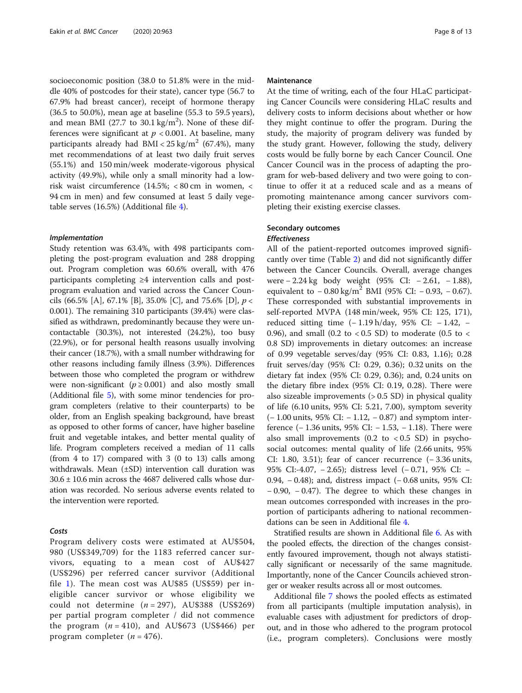socioeconomic position (38.0 to 51.8% were in the middle 40% of postcodes for their state), cancer type (56.7 to 67.9% had breast cancer), receipt of hormone therapy (36.5 to 50.0%), mean age at baseline (55.3 to 59.5 years), and mean BMI (27.7 to  $30.1 \text{ kg/m}^2$ ). None of these differences were significant at  $p < 0.001$ . At baseline, many participants already had  $BMI < 25 \text{ kg/m}^2$  (67.4%), many met recommendations of at least two daily fruit serves (55.1%) and 150 min/week moderate-vigorous physical activity (49.9%), while only a small minority had a lowrisk waist circumference (14.5%; < 80 cm in women, < 94 cm in men) and few consumed at least 5 daily vegetable serves (16.5%) (Additional file [4](#page-10-0)).

#### Implementation

Study retention was 63.4%, with 498 participants completing the post-program evaluation and 288 dropping out. Program completion was 60.6% overall, with 476 participants completing ≥4 intervention calls and postprogram evaluation and varied across the Cancer Councils (66.5% [A], 67.1% [B], 35.0% [C], and 75.6% [D],  $p <$ 0.001). The remaining 310 participants (39.4%) were classified as withdrawn, predominantly because they were uncontactable (30.3%), not interested (24.2%), too busy (22.9%), or for personal health reasons usually involving their cancer (18.7%), with a small number withdrawing for other reasons including family illness (3.9%). Differences between those who completed the program or withdrew were non-significant ( $p \ge 0.001$ ) and also mostly small (Additional file [5\)](#page-10-0), with some minor tendencies for program completers (relative to their counterparts) to be older, from an English speaking background, have breast as opposed to other forms of cancer, have higher baseline fruit and vegetable intakes, and better mental quality of life. Program completers received a median of 11 calls (from 4 to 17) compared with 3 (0 to 13) calls among withdrawals. Mean (±SD) intervention call duration was  $30.6 \pm 10.6$  min across the 4687 delivered calls whose duration was recorded. No serious adverse events related to the intervention were reported.

#### Costs

Program delivery costs were estimated at AU\$504, 980 (US\$349,709) for the 1183 referred cancer survivors, equating to a mean cost of AU\$427 (US\$296) per referred cancer survivor (Additional file [1](#page-10-0)). The mean cost was AU\$85 (US\$59) per ineligible cancer survivor or whose eligibility we could not determine  $(n = 297)$ , AU\$388 (US\$269) per partial program completer / did not commence the program  $(n = 410)$ , and AU\$673 (US\$466) per program completer  $(n = 476)$ .

#### Maintenance

At the time of writing, each of the four HLaC participating Cancer Councils were considering HLaC results and delivery costs to inform decisions about whether or how they might continue to offer the program. During the study, the majority of program delivery was funded by the study grant. However, following the study, delivery costs would be fully borne by each Cancer Council. One Cancer Council was in the process of adapting the program for web-based delivery and two were going to continue to offer it at a reduced scale and as a means of promoting maintenance among cancer survivors completing their existing exercise classes.

#### Secondary outcomes Effectiveness

All of the patient-reported outcomes improved significantly over time (Table [2](#page-8-0)) and did not significantly differ between the Cancer Councils. Overall, average changes were − 2.24 kg body weight (95% CI: − 2.61, − 1.88), equivalent to  $-0.80 \text{ kg/m}^2$  BMI (95% CI:  $-0.93$ ,  $-0.67$ ). These corresponded with substantial improvements in self-reported MVPA (148 min/week, 95% CI: 125, 171), reduced sitting time (− 1.19 h/day, 95% CI: − 1.42, − 0.96), and small (0.2 to  $<$  0.5 SD) to moderate (0.5 to  $<$ 0.8 SD) improvements in dietary outcomes: an increase of 0.99 vegetable serves/day (95% CI: 0.83, 1.16); 0.28 fruit serves/day (95% CI: 0.29, 0.36); 0.32 units on the dietary fat index (95% CI: 0.29, 0.36); and, 0.24 units on the dietary fibre index (95% CI: 0.19, 0.28). There were also sizeable improvements (> 0.5 SD) in physical quality of life (6.10 units, 95% CI: 5.21, 7.00), symptom severity (− 1.00 units, 95% CI: − 1.12, − 0.87) and symptom interference (− 1.36 units, 95% CI: − 1.53, − 1.18). There were also small improvements  $(0.2 \text{ to } < 0.5 \text{ SD})$  in psychosocial outcomes: mental quality of life (2.66 units, 95% CI: 1.80, 3.51); fear of cancer recurrence (− 3.36 units, 95% CI:-4.07, − 2.65); distress level (− 0.71, 95% CI: − 0.94, − 0.48); and, distress impact (− 0.68 units, 95% CI: − 0.90, − 0.47). The degree to which these changes in mean outcomes corresponded with increases in the proportion of participants adhering to national recommendations can be seen in Additional file [4](#page-10-0).

Stratified results are shown in Additional file [6](#page-10-0). As with the pooled effects, the direction of the changes consistently favoured improvement, though not always statistically significant or necessarily of the same magnitude. Importantly, none of the Cancer Councils achieved stronger or weaker results across all or most outcomes.

Additional file [7](#page-10-0) shows the pooled effects as estimated from all participants (multiple imputation analysis), in evaluable cases with adjustment for predictors of dropout, and in those who adhered to the program protocol (i.e., program completers). Conclusions were mostly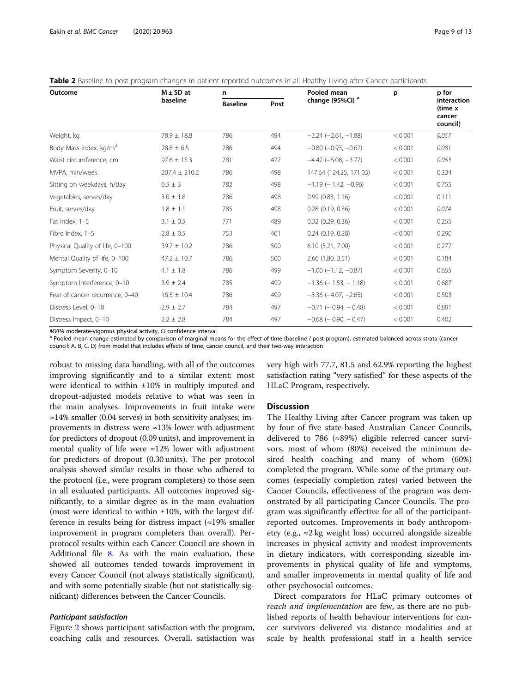| Outcome                            | $M \pm SD$ at     | n                       |     | Pooled mean                   | p       | p for                                        |  |
|------------------------------------|-------------------|-------------------------|-----|-------------------------------|---------|----------------------------------------------|--|
|                                    | baseline          | <b>Baseline</b><br>Post |     | change (95%CI) <sup>a</sup>   |         | interaction<br>(time x<br>cancer<br>council) |  |
| Weight, kg                         | $78.9 \pm 18.8$   | 786                     | 494 | $-2.24$ $(-2.61, -1.88)$      | < 0.001 | 0.057                                        |  |
| Body Mass Index, kg/m <sup>2</sup> | $28.8 \pm 6.5$    | 786                     | 494 | $-0.80$ ( $-0.93$ , $-0.67$ ) | < 0.001 | 0.081                                        |  |
| Waist circumference, cm            | $97.6 \pm 15.3$   | 781                     | 477 | $-4.42$ ( $-5.08$ , $-3.77$ ) | < 0.001 | 0.063                                        |  |
| MVPA, min/week                     | $207.4 \pm 210.2$ | 786                     | 498 | 147.64 (124.25, 171.03)       | < 0.001 | 0.334                                        |  |
| Sitting on weekdays, h/day         | $6.5 \pm 3$       | 782                     | 498 | $-1.19$ ( $-1.42$ , $-0.96$ ) | < 0.001 | 0.755                                        |  |
| Vegetables, serves/day             | $3.0 \pm 1.8$     | 786                     | 498 | 0.99(0.83, 1.16)              | < 0.001 | 0.111                                        |  |
| Fruit, serves/day                  | $1.8 \pm 1.1$     | 785                     | 498 | 0.28(0.19, 0.36)              | < 0.001 | 0.074                                        |  |
| Fat Index, 1-5                     | $3.1 \pm 0.5$     | 771                     | 489 | $0.32$ $(0.29, 0.36)$         | < 0.001 | 0.255                                        |  |
| Fibre Index, 1-5                   | $2.8 \pm 0.5$     | 753                     | 461 | 0.24(0.19, 0.28)              | < 0.001 | 0.290                                        |  |
| Physical Quality of life, 0-100    | $39.7 \pm 10.2$   | 786                     | 500 | 6.10(5.21, 7.00)              | < 0.001 | 0.277                                        |  |
| Mental Quality of life, 0-100      | $47.2 \pm 10.7$   | 786                     | 500 | 2.66 (1.80, 3.51)             | < 0.001 | 0.184                                        |  |
| Symptom Severity, 0-10             | $4.1 \pm 1.8$     | 786                     | 499 | $-1.00$ ( $-1.12$ , $-0.87$ ) | < 0.001 | 0.655                                        |  |
| Symptom Interference, 0-10         | $3.9 \pm 2.4$     | 785                     | 499 | $-1.36$ ( $-1.53$ , $-1.18$ ) | < 0.001 | 0.687                                        |  |
| Fear of cancer recurrence, 0-40    | $16.5 \pm 10.4$   | 786                     | 499 | $-3.36$ ( $-4.07$ , $-2.65$ ) | < 0.001 | 0.503                                        |  |
| Distress Level, 0-10               | $2.9 \pm 2.7$     | 784                     | 497 | $-0.71$ ( $-0.94$ , $-0.48$ ) | < 0.001 | 0.891                                        |  |
| Distress Impact, 0-10              | $2.2 \pm 2.8$     | 784                     | 497 | $-0.68$ ( $-0.90$ , $-0.47$ ) | < 0.001 | 0.402                                        |  |

<span id="page-8-0"></span>

|  |  | <b>Table 2</b> Baseline to post-program changes in patient reported outcomes in all Healthy Living after Cancer participants |  |
|--|--|------------------------------------------------------------------------------------------------------------------------------|--|
|--|--|------------------------------------------------------------------------------------------------------------------------------|--|

MVPA moderate-vigorous physical activity, CI confidence interval<br><sup>a</sup> Pooled mean change estimated by comparison of marginal means for the effect of time (baseline / post program), estimated balanced across strata (cancer council: A, B, C, D) from model that includes effects of time, cancer council, and their two-way interaction

robust to missing data handling, with all of the outcomes improving significantly and to a similar extent: most were identical to within ±10% in multiply imputed and dropout-adjusted models relative to what was seen in the main analyses. Improvements in fruit intake were ≈14% smaller (0.04 serves) in both sensitivity analyses; improvements in distress were ≈13% lower with adjustment for predictors of dropout (0.09 units), and improvement in mental quality of life were ≈12% lower with adjustment for predictors of dropout (0.30 units). The per protocol analysis showed similar results in those who adhered to the protocol (i.e., were program completers) to those seen in all evaluated participants. All outcomes improved significantly, to a similar degree as in the main evaluation (most were identical to within  $\pm 10$ %, with the largest difference in results being for distress impact  $(\approx 19\%$  smaller improvement in program completers than overall). Perprotocol results within each Cancer Council are shown in Additional file [8.](#page-10-0) As with the main evaluation, these showed all outcomes tended towards improvement in every Cancer Council (not always statistically significant), and with some potentially sizable (but not statistically significant) differences between the Cancer Councils.

#### Participant satisfaction

Figure [2](#page-9-0) shows participant satisfaction with the program, coaching calls and resources. Overall, satisfaction was very high with 77.7, 81.5 and 62.9% reporting the highest satisfaction rating "very satisfied" for these aspects of the HLaC Program, respectively.

#### **Discussion**

The Healthy Living after Cancer program was taken up by four of five state-based Australian Cancer Councils, delivered to 786 (≈89%) eligible referred cancer survivors, most of whom (80%) received the minimum desired health coaching and many of whom (60%) completed the program. While some of the primary outcomes (especially completion rates) varied between the Cancer Councils, effectiveness of the program was demonstrated by all participating Cancer Councils. The program was significantly effective for all of the participantreported outcomes. Improvements in body anthropometry (e.g., ≈2 kg weight loss) occurred alongside sizeable increases in physical activity and modest improvements in dietary indicators, with corresponding sizeable improvements in physical quality of life and symptoms, and smaller improvements in mental quality of life and other psychosocial outcomes.

Direct comparators for HLaC primary outcomes of reach and implementation are few, as there are no published reports of health behaviour interventions for cancer survivors delivered via distance modalities and at scale by health professional staff in a health service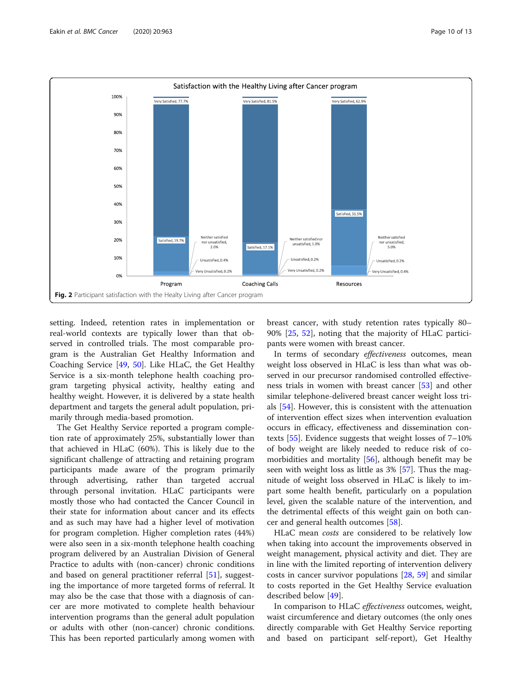<span id="page-9-0"></span>

setting. Indeed, retention rates in implementation or real-world contexts are typically lower than that observed in controlled trials. The most comparable program is the Australian Get Healthy Information and Coaching Service [[49](#page-12-0), [50](#page-12-0)]. Like HLaC, the Get Healthy Service is a six-month telephone health coaching program targeting physical activity, healthy eating and healthy weight. However, it is delivered by a state health department and targets the general adult population, primarily through media-based promotion.

The Get Healthy Service reported a program completion rate of approximately 25%, substantially lower than that achieved in HLaC (60%). This is likely due to the significant challenge of attracting and retaining program participants made aware of the program primarily through advertising, rather than targeted accrual through personal invitation. HLaC participants were mostly those who had contacted the Cancer Council in their state for information about cancer and its effects and as such may have had a higher level of motivation for program completion. Higher completion rates (44%) were also seen in a six-month telephone health coaching program delivered by an Australian Division of General Practice to adults with (non-cancer) chronic conditions and based on general practitioner referral [\[51\]](#page-12-0), suggesting the importance of more targeted forms of referral. It may also be the case that those with a diagnosis of cancer are more motivated to complete health behaviour intervention programs than the general adult population or adults with other (non-cancer) chronic conditions. This has been reported particularly among women with

breast cancer, with study retention rates typically 80– 90% [[25](#page-11-0), [52](#page-12-0)], noting that the majority of HLaC participants were women with breast cancer.

In terms of secondary *effectiveness* outcomes, mean weight loss observed in HLaC is less than what was observed in our precursor randomised controlled effectiveness trials in women with breast cancer [[53\]](#page-12-0) and other similar telephone-delivered breast cancer weight loss trials [[54\]](#page-12-0). However, this is consistent with the attenuation of intervention effect sizes when intervention evaluation occurs in efficacy, effectiveness and dissemination contexts  $[55]$  $[55]$ . Evidence suggests that weight losses of  $7-10\%$ of body weight are likely needed to reduce risk of co-morbidities and mortality [[56\]](#page-12-0), although benefit may be seen with weight loss as little as 3% [[57\]](#page-12-0). Thus the magnitude of weight loss observed in HLaC is likely to impart some health benefit, particularly on a population level, given the scalable nature of the intervention, and the detrimental effects of this weight gain on both cancer and general health outcomes [\[58](#page-12-0)].

HLaC mean costs are considered to be relatively low when taking into account the improvements observed in weight management, physical activity and diet. They are in line with the limited reporting of intervention delivery costs in cancer survivor populations [[28,](#page-12-0) [59\]](#page-12-0) and similar to costs reported in the Get Healthy Service evaluation described below [[49](#page-12-0)].

In comparison to HLaC effectiveness outcomes, weight, waist circumference and dietary outcomes (the only ones directly comparable with Get Healthy Service reporting and based on participant self-report), Get Healthy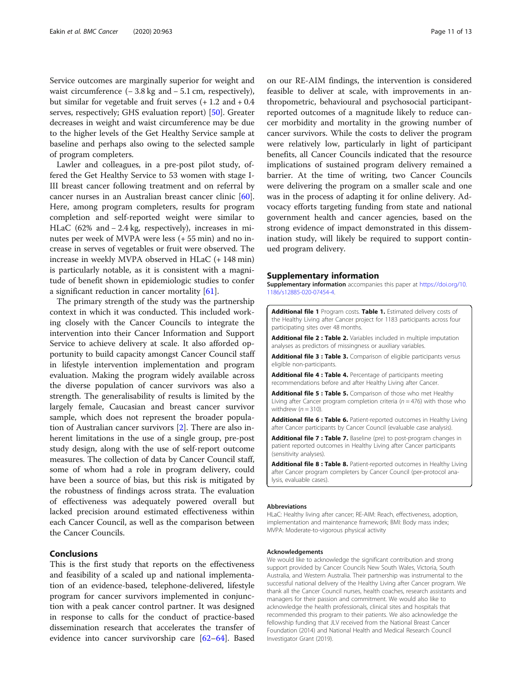<span id="page-10-0"></span>Service outcomes are marginally superior for weight and waist circumference  $(-3.8 \text{ kg and } -5.1 \text{ cm}$ , respectively), but similar for vegetable and fruit serves  $(+ 1.2 \text{ and } +0.4 \text{)}$ serves, respectively; GHS evaluation report) [\[50](#page-12-0)]. Greater decreases in weight and waist circumference may be due to the higher levels of the Get Healthy Service sample at baseline and perhaps also owing to the selected sample of program completers.

Lawler and colleagues, in a pre-post pilot study, offered the Get Healthy Service to 53 women with stage I-III breast cancer following treatment and on referral by cancer nurses in an Australian breast cancer clinic [\[60](#page-12-0)]. Here, among program completers, results for program completion and self-reported weight were similar to HLaC (62% and − 2.4 kg, respectively), increases in minutes per week of MVPA were less (+ 55 min) and no increase in serves of vegetables or fruit were observed. The increase in weekly MVPA observed in HLaC (+ 148 min) is particularly notable, as it is consistent with a magnitude of benefit shown in epidemiologic studies to confer a significant reduction in cancer mortality [[61\]](#page-12-0).

The primary strength of the study was the partnership context in which it was conducted. This included working closely with the Cancer Councils to integrate the intervention into their Cancer Information and Support Service to achieve delivery at scale. It also afforded opportunity to build capacity amongst Cancer Council staff in lifestyle intervention implementation and program evaluation. Making the program widely available across the diverse population of cancer survivors was also a strength. The generalisability of results is limited by the largely female, Caucasian and breast cancer survivor sample, which does not represent the broader population of Australian cancer survivors [\[2](#page-11-0)]. There are also inherent limitations in the use of a single group, pre-post study design, along with the use of self-report outcome measures. The collection of data by Cancer Council staff, some of whom had a role in program delivery, could have been a source of bias, but this risk is mitigated by the robustness of findings across strata. The evaluation of effectiveness was adequately powered overall but lacked precision around estimated effectiveness within each Cancer Council, as well as the comparison between the Cancer Councils.

#### Conclusions

This is the first study that reports on the effectiveness and feasibility of a scaled up and national implementation of an evidence-based, telephone-delivered, lifestyle program for cancer survivors implemented in conjunction with a peak cancer control partner. It was designed in response to calls for the conduct of practice-based dissemination research that accelerates the transfer of evidence into cancer survivorship care [[62](#page-12-0)–[64](#page-12-0)]. Based

on our RE-AIM findings, the intervention is considered feasible to deliver at scale, with improvements in anthropometric, behavioural and psychosocial participantreported outcomes of a magnitude likely to reduce cancer morbidity and mortality in the growing number of cancer survivors. While the costs to deliver the program were relatively low, particularly in light of participant benefits, all Cancer Councils indicated that the resource implications of sustained program delivery remained a barrier. At the time of writing, two Cancer Councils were delivering the program on a smaller scale and one was in the process of adapting it for online delivery. Advocacy efforts targeting funding from state and national government health and cancer agencies, based on the strong evidence of impact demonstrated in this dissemination study, will likely be required to support continued program delivery.

#### Supplementary information

Supplementary information accompanies this paper at [https://doi.org/10.](https://doi.org/10.1186/s12885-020-07454-4) [1186/s12885-020-07454-4](https://doi.org/10.1186/s12885-020-07454-4).

Additional file 1 Program costs. Table 1. Estimated delivery costs of the Healthy Living after Cancer project for 1183 participants across four participating sites over 48 months.

Additional file 2 : Table 2. Variables included in multiple imputation analyses as predictors of missingness or auxiliary variables.

Additional file 3 : Table 3. Comparison of eligible participants versus eligible non-participants.

Additional file 4 : Table 4. Percentage of participants meeting recommendations before and after Healthy Living after Cancer.

Additional file 5 : Table 5. Comparison of those who met Healthy Living after Cancer program completion criteria ( $n = 476$ ) with those who withdrew  $(n = 310)$ .

Additional file 6 : Table 6. Patient-reported outcomes in Healthy Living after Cancer participants by Cancer Council (evaluable case analysis).

Additional file 7 : Table 7. Baseline (pre) to post-program changes in patient reported outcomes in Healthy Living after Cancer participants (sensitivity analyses).

Additional file 8 : Table 8. Patient-reported outcomes in Healthy Living after Cancer program completers by Cancer Council (per-protocol analysis, evaluable cases).

#### Abbreviations

HLaC: Healthy living after cancer; RE-AIM: Reach, effectiveness, adoption, implementation and maintenance framework; BMI: Body mass index; MVPA: Moderate-to-vigorous physical activity

#### Acknowledgements

We would like to acknowledge the significant contribution and strong support provided by Cancer Councils New South Wales, Victoria, South Australia, and Western Australia. Their partnership was instrumental to the successful national delivery of the Healthy Living after Cancer program. We thank all the Cancer Council nurses, health coaches, research assistants and managers for their passion and commitment. We would also like to acknowledge the health professionals, clinical sites and hospitals that recommended this program to their patients. We also acknowledge the fellowship funding that JLV received from the National Breast Cancer Foundation (2014) and National Health and Medical Research Council Investigator Grant (2019).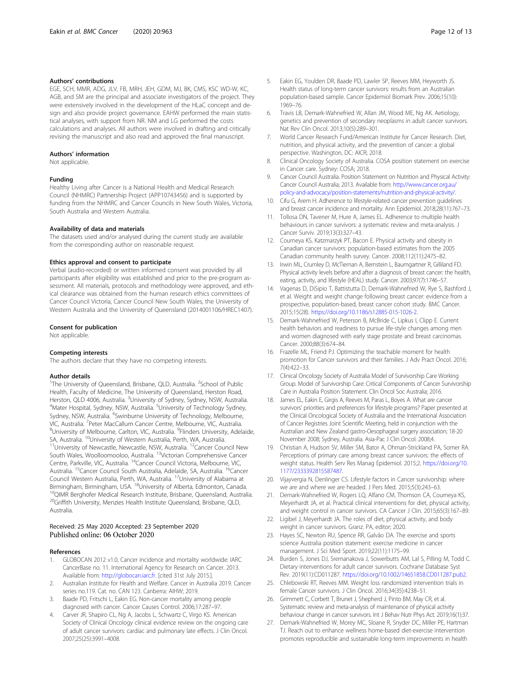#### <span id="page-11-0"></span>Authors' contributions

EGE, SCH, MMR, ADG, JLV, FB, MRH, JEH, GDM, MJ, BK, CMS, KSC WD-W, KC, AGB, and SM are the principal and associate investigators of the project. They were extensively involved in the development of the HLaC concept and design and also provide project governance. EAHW performed the main statistical analyses, with support from NR. NM and LG performed the costs calculations and analyses. All authors were involved in drafting and critically revising the manuscript and also read and approved the final manuscript.

#### Authors' information

Not applicable.

#### Funding

Healthy Living after Cancer is a National Health and Medical Research Council (NHMRC) Partnership Project (APP10743456) and is supported by funding from the NHMRC and Cancer Councils in New South Wales, Victoria, South Australia and Western Australia.

#### Availability of data and materials

The datasets used and/or analysed during the current study are available from the corresponding author on reasonable request.

#### Ethics approval and consent to participate

Verbal (audio-recorded) or written informed consent was provided by all participants after eligibility was established and prior to the pre-program assessment. All materials, protocols and methodology were approved, and ethical clearance was obtained from the human research ethics committees of Cancer Council Victoria, Cancer Council New South Wales, the University of Western Australia and the University of Queensland (2014001106/HREC1407).

#### Consent for publication

Not applicable.

#### Competing interests

The authors declare that they have no competing interests.

#### Author details

<sup>1</sup>The University of Queensland, Brisbane, QLD, Australia. <sup>2</sup>School of Public Health, Faculty of Medicine, The University of Queensland, Herston Road, Herston, QLD 4006, Australia. <sup>3</sup>University of Sydney, Sydney, NSW, Australia.<br><sup>4</sup>Mater Hospital, Sydney, NSW, Australia. <sup>5</sup>Lbiversity of Technology Sydney. Mater Hospital, Sydney, NSW, Australia. <sup>5</sup>University of Technology Sydney, Sydney, NSW, Australia. <sup>6</sup>Swinburne University of Technology, Melbourne, VIC, Australia. <sup>7</sup> Peter MacCallum Cancer Centre, Melbourne, VIC, Australia.<br><sup>8</sup>Llpiversity of Melbourne, Carlton, VIC, Australia. <sup>9</sup>Elinders University, Adel University of Melbourne, Carlton, VIC, Australia. <sup>9</sup>Flinders University, Adelaide, SA, Australia. <sup>10</sup>University of Western Australia, Perth, WA, Australia.<br><sup>11</sup>University of Newcastle, Newcastle, NSW, Australia. <sup>12</sup>Cancer Council New South Wales, Woolloomooloo, Australia. 13Victorian Comprehensive Cancer Centre, Parkville, VIC, Australia. 14Cancer Council Victoria, Melbourne, VIC, Australia. 15Cancer Council South Australia, Adelaide, SA, Australia. 16Cancer Council Western Australia, Perth, WA, Australia. 17University of Alabama at Birmingham, Birmingham, USA. <sup>18</sup>University of Alberta, Edmonton, Canada.<br><sup>19</sup>QIMR Berghofer Medical Research Institute, Brisbane, Queensland, Australia. <sup>20</sup>Griffith University, Menzies Health Institute Queensland, Brisbane, QLD, Australia.

### Received: 25 May 2020 Accepted: 23 September 2020

#### References

- 1. GLOBOCAN 2012 v1.0, Cancer incidence and mortality worldwide: IARC CancerBase no. 11. International Agency for Research on Cancer. 2013. Available from: <http://globocan.iarc.fr>. [cited 31st July 2015.].
- 2. Australian Institute for Health and Welfare. Cancer in Australia 2019. Cancer series no.119. Cat. no. CAN 123. Canberra: AIHW; 2019.
- 3. Baade PD, Fritschi L, Eakin EG. Non-cancer mortality among people diagnosed with cancer. Cancer Causes Control. 2006;17:287–97.
- Carver JR, Shapiro CL, Ng A, Jacobs L, Schwartz C, Virgo KS. American Society of Clinical Oncology clinical evidence review on the ongoing care of adult cancer survivors: cardiac and pulmonary late effects. J Clin Oncol. 2007;25(25):3991–4008.
- 5. Eakin EG, Youlden DR, Baade PD, Lawler SP, Reeves MM, Heyworth JS. Health status of long-term cancer survivors: results from an Australian population-based sample. Cancer Epidemiol Biomark Prev. 2006;15(10): 1969–76.
- 6. Travis LB, Demark-Wahnefried W, Allan JM, Wood ME, Ng AK. Aetiology, genetics and prevention of secondary neoplasms in adult cancer survivors. Nat Rev Clin Oncol. 2013;10(5):289–301.
- 7. World Cancer Research Fund/American Institute for Cancer Research. Diet, nutrition, and physical activity, and the prevention of cancer: a global perspective. Washington, DC: AICR; 2018.
- 8. Clinical Oncology Society of Australia. COSA position statement on exercise in Cancer care. Sydney: COSA; 2018.
- 9. Cancer Council Australia. Position Statement on Nutrition and Physical Activity: Cancer Council Australia; 2013. Available from: [http://www.cancer.org.au/](http://www.cancer.org.au/policy-and-advocacy/position-statements/nutrition-and-physical-activity/) [policy-and-advocacy/position-statements/nutrition-and-physical-activity/](http://www.cancer.org.au/policy-and-advocacy/position-statements/nutrition-and-physical-activity/).
- 10. Cifu G, Arem H. Adherence to lifestyle-related cancer prevention guidelines and breast cancer incidence and mortality. Ann Epidemiol. 2018;28(11):767–73.
- 11. Tollosa DN, Tavener M, Hure A, James EL. Adherence to multiple health behaviours in cancer survivors: a systematic review and meta-analysis. J Cancer Surviv. 2019;13(3):327–43.
- 12. Courneya KS, Katzmarzyk PT, Bacon E. Physical activity and obesity in Canadian cancer survivors: population-based estimates from the 2005 Canadian community health survey. Cancer. 2008;112(11):2475–82.
- 13. Irwin ML, Crumley D, McTiernan A, Bernstein L, Baumgartner R, Gilliland FD. Physical activity levels before and after a diagnosis of breast cancer: the health, eating, activity, and lifestyle (HEAL) study. Cancer. 2003;97(7):1746–57.
- 14. Vagenas D, DiSipio T, Battistutta D, Demark-Wahnefried W, Rye S, Bashford J, et al. Weight and weight change following breast cancer: evidence from a prospective, population-based, breast cancer cohort study. BMC Cancer. 2015;15(28). [https://doi.org/10.1186/s12885-015-1026-2.](https://doi.org/10.1186/s12885-015-1026-2)
- 15. Demark-Wahnefried W, Peterson B, McBride C, Lipkus I, Clipp E. Current health behaviors and readiness to pursue life-style changes among men and women diagnosed with early stage prostate and breast carcinomas. Cancer. 2000;88(3):674–84.
- 16. Frazelle ML, Friend PJ. Optimizing the teachable moment for health promotion for Cancer survivors and their families. J Adv Pract Oncol. 2016; 7(4):422–33.
- 17. Clinical Oncology Society of Australia Model of Survivorship Care Working Group. Model of Survivorship Care: Critical Components of Cancer Survivorship Care in Australia Position Statement. Clin Oncol Soc Australia; 2016.
- 18. James EL, Eakin E, Girgis A, Reeves M, Paras L, Boyes A. What are cancer survivors' priorities and preferences for lifestyle programs? Paper presented at the Clinical Oncological Society of Australia and the International Association of Cancer Registries Joint Scientific Meeting, held in conjunction with the Australian and New Zealand gastro-Oesophageal surgery association; 18-20 November 2008; Sydney, Australia. Asia-Pac J Clin Oncol. 2008;4.
- 19. Christian A, Hudson SV, Miller SM, Bator A, Ohman-Strickland PA, Somer RA. Perceptions of primary care among breast cancer survivors: the effects of weight status. Health Serv Res Manag Epidemiol. 2015;2. [https://doi.org/10.](https://doi.org/10.1177/2333392815587487) [1177/2333392815587487](https://doi.org/10.1177/2333392815587487).
- 20. Vijayvergia N, Denlinger CS. Lifestyle factors in Cancer survivorship: where we are and where we are headed. J Pers Med. 2015;5(3):243–63.
- 21. Demark-Wahnefried W, Rogers LQ, Alfano CM, Thomson CA, Courneya KS, Meyerhardt JA, et al. Practical clinical interventions for diet, physical activity, and weight control in cancer survivors. CA Cancer J Clin. 2015;65(3):167–89.
- 22. Ligibel J, Meyerhardt JA. The roles of diet, physical activity, and body weight in cancer survivors. Granz. PA, editor; 2020.
- 23. Hayes SC, Newton RU, Spence RR, Galvão DA. The exercise and sports science Australia position statement: exercise medicine in cancer management. J Sci Med Sport. 2019;22(11):1175–99.
- Burden S, Jones DJ, Sremanakova J, Sowerbutts AM, Lal S, Pilling M, Todd C. Dietary interventions for adult cancer survivors. Cochrane Database Syst Rev. 2019(11):CD011287. [https://doi.org/10.1002/14651858.CD011287.pub2.](https://doi.org/10.1002/14651858.CD011287.pub2)
- 25. Chlebowski RT, Reeves MM. Weight loss randomized intervention trials in female Cancer survivors. J Clin Oncol. 2016;34(35):4238–51.
- 26. Grimmett C, Corbett T, Brunet J, Shepherd J, Pinto BM, May CR, et al. Systematic review and meta-analysis of maintenance of physical activity behaviour change in cancer survivors. Int J Behav Nutr Phys Act. 2019;16(1):37.
- 27. Demark-Wahnefried W, Morey MC, Sloane R, Snyder DC, Miller PE, Hartman TJ. Reach out to enhance wellness home-based diet-exercise intervention promotes reproducible and sustainable long-term improvements in health